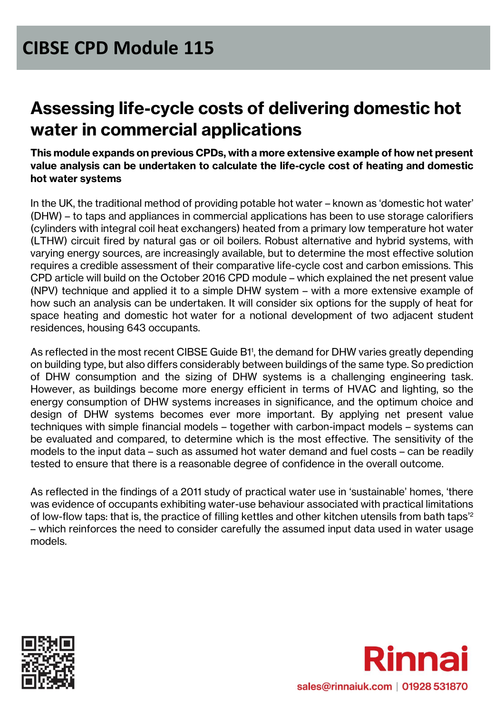# **Assessing life-cycle costs of delivering domestic hot water in commercial applications**

**This module expands on previous CPDs, with a more extensive example of how net present value analysis can be undertaken to calculate the life-cycle cost of heating and domestic hot water systems**

In the UK, the traditional method of providing potable hot water – known as 'domestic hot water' (DHW) – to taps and appliances in commercial applications has been to use storage calorifiers (cylinders with integral coil heat exchangers) heated from a primary low temperature hot water (LTHW) circuit fired by natural gas or oil boilers. Robust alternative and hybrid systems, with varying energy sources, are increasingly available, but to determine the most effective solution requires a credible assessment of their comparative life-cycle cost and carbon emissions. This CPD article will build on the October 2016 CPD module – which explained the net present value (NPV) technique and applied it to a simple DHW system – with a more extensive example of how such an analysis can be undertaken. It will consider six options for the supply of heat for space heating and domestic hot water for a notional development of two adjacent student residences, housing 643 occupants.

As reflected in the most recent CIBSE Guide B1<sup>1</sup>, the demand for DHW varies greatly depending on building type, but also differs considerably between buildings of the same type. So prediction of DHW consumption and the sizing of DHW systems is a challenging engineering task. However, as buildings become more energy efficient in terms of HVAC and lighting, so the energy consumption of DHW systems increases in significance, and the optimum choice and design of DHW systems becomes ever more important. By applying net present value techniques with simple financial models – together with carbon-impact models – systems can be evaluated and compared, to determine which is the most effective. The sensitivity of the models to the input data – such as assumed hot water demand and fuel costs – can be readily tested to ensure that there is a reasonable degree of confidence in the overall outcome.

As reflected in the findings of a 2011 study of practical water use in 'sustainable' homes, 'there was evidence of occupants exhibiting water-use behaviour associated with practical limitations of low-flow taps: that is, the practice of filling kettles and other kitchen utensils from bath taps'<sup>2</sup> – which reinforces the need to consider carefully the assumed input data used in water usage models.



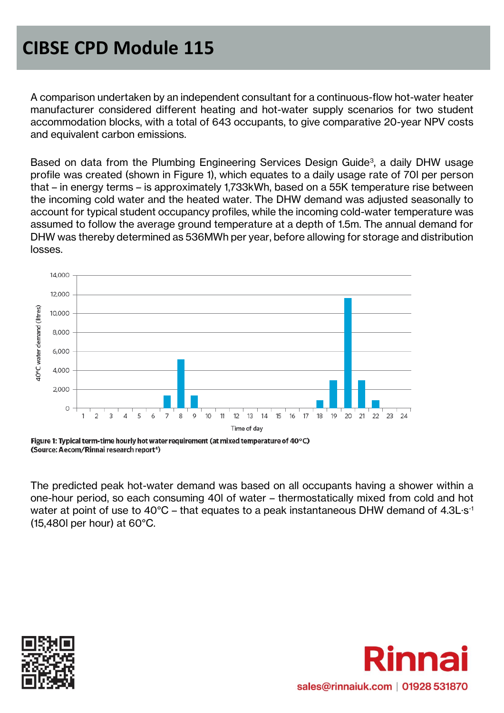A comparison undertaken by an independent consultant for a continuous-flow hot-water heater manufacturer considered different heating and hot-water supply scenarios for two student accommodation blocks, with a total of 643 occupants, to give comparative 20-year NPV costs and equivalent carbon emissions.

Based on data from the Plumbing Engineering Services Design Guide<sup>3</sup>, a daily DHW usage profile was created (shown in Figure 1), which equates to a daily usage rate of 70l per person that – in energy terms – is approximately 1,733kWh, based on a 55K temperature rise between the incoming cold water and the heated water. The DHW demand was adjusted seasonally to account for typical student occupancy profiles, while the incoming cold-water temperature was assumed to follow the average ground temperature at a depth of 1.5m. The annual demand for DHW was thereby determined as 536MWh per year, before allowing for storage and distribution losses.



Figure 1: Typical term-time hourly hot water requirement (at mixed temperature of 40°C) (Source: Aecom/Rinnai research report<sup>4</sup>)

The predicted peak hot-water demand was based on all occupants having a shower within a one-hour period, so each consuming 40l of water – thermostatically mixed from cold and hot water at point of use to  $40^{\circ}$ C – that equates to a peak instantaneous DHW demand of 4.3L $\cdot$ s<sup>-1</sup> (15,480l per hour) at 60°C.



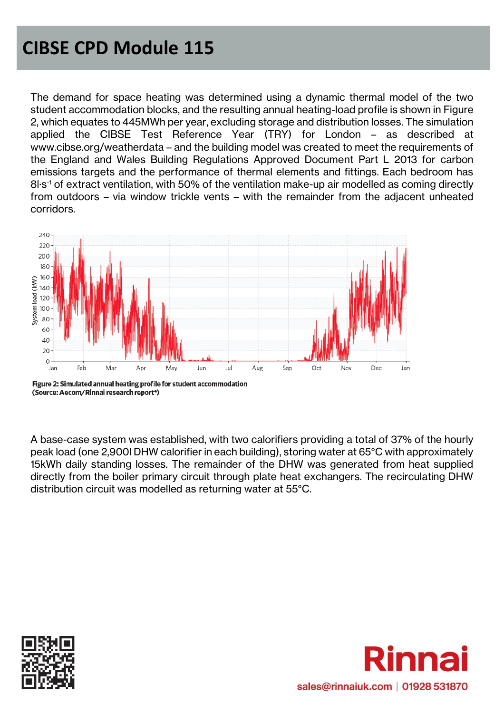The demand for space heating was determined using a dynamic thermal model of the two student accommodation blocks, and the resulting annual heating-load profile is shown in Figure 2, which equates to 445MWh per year, excluding storage and distribution losses. The simulation applied the CIBSE Test Reference Year (TRY) for London – as described at www.cibse.org/weatherdata – and the building model was created to meet the requirements of the England and Wales Building Regulations Approved Document Part L 2013 for carbon emissions targets and the performance of thermal elements and fittings. Each bedroom has 8l·s-1 of extract ventilation, with 50% of the ventilation make-up air modelled as coming directly from outdoors – via window trickle vents – with the remainder from the adjacent unheated corridors.



Figure 2: Simulated annual heating profile for student accommodation (Source: Aecom/Rinnai research report<sup>4</sup>)

A base-case system was established, with two calorifiers providing a total of 37% of the hourly peak load (one 2,900l DHW calorifier in each building), storing water at 65°C with approximately 15kWh daily standing losses. The remainder of the DHW was generated from heat supplied directly from the boiler primary circuit through plate heat exchangers. The recirculating DHW distribution circuit was modelled as returning water at 55°C.



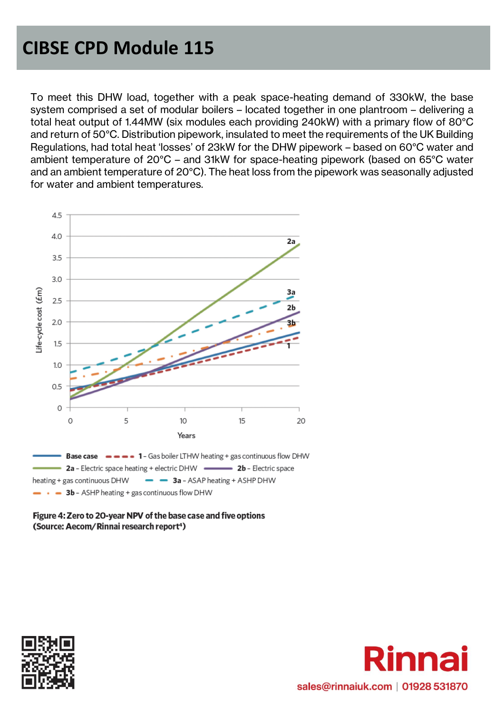To meet this DHW load, together with a peak space-heating demand of 330kW, the base system comprised a set of modular boilers – located together in one plantroom – delivering a total heat output of 1.44MW (six modules each providing 240kW) with a primary flow of 80°C and return of 50°C. Distribution pipework, insulated to meet the requirements of the UK Building Regulations, had total heat 'losses' of 23kW for the DHW pipework – based on 60°C water and ambient temperature of 20°C – and 31kW for space-heating pipework (based on 65°C water and an ambient temperature of 20°C). The heat loss from the pipework was seasonally adjusted for water and ambient temperatures.





#### Figure 4: Zero to 20-year NPV of the base case and five options (Source: Aecom/Rinnai research report<sup>4</sup>)



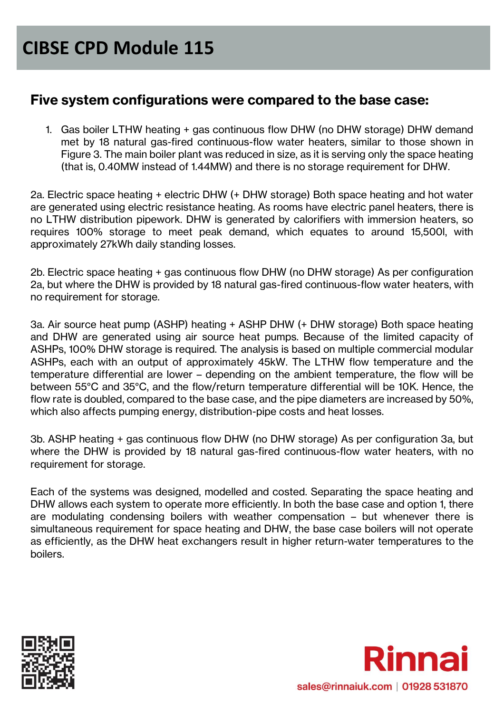#### **Five system configurations were compared to the base case:**

1. Gas boiler LTHW heating + gas continuous flow DHW (no DHW storage) DHW demand met by 18 natural gas-fired continuous-flow water heaters, similar to those shown in Figure 3. The main boiler plant was reduced in size, as it is serving only the space heating (that is, 0.40MW instead of 1.44MW) and there is no storage requirement for DHW.

2a. Electric space heating + electric DHW (+ DHW storage) Both space heating and hot water are generated using electric resistance heating. As rooms have electric panel heaters, there is no LTHW distribution pipework. DHW is generated by calorifiers with immersion heaters, so requires 100% storage to meet peak demand, which equates to around 15,500l, with approximately 27kWh daily standing losses.

2b. Electric space heating + gas continuous flow DHW (no DHW storage) As per configuration 2a, but where the DHW is provided by 18 natural gas-fired continuous-flow water heaters, with no requirement for storage.

3a. Air source heat pump (ASHP) heating + ASHP DHW (+ DHW storage) Both space heating and DHW are generated using air source heat pumps. Because of the limited capacity of ASHPs, 100% DHW storage is required. The analysis is based on multiple commercial modular ASHPs, each with an output of approximately 45kW. The LTHW flow temperature and the temperature differential are lower – depending on the ambient temperature, the flow will be between 55°C and 35°C, and the flow/return temperature differential will be 10K. Hence, the flow rate is doubled, compared to the base case, and the pipe diameters are increased by 50%, which also affects pumping energy, distribution-pipe costs and heat losses.

3b. ASHP heating + gas continuous flow DHW (no DHW storage) As per configuration 3a, but where the DHW is provided by 18 natural gas-fired continuous-flow water heaters, with no requirement for storage.

Each of the systems was designed, modelled and costed. Separating the space heating and DHW allows each system to operate more efficiently. In both the base case and option 1, there are modulating condensing boilers with weather compensation – but whenever there is simultaneous requirement for space heating and DHW, the base case boilers will not operate as efficiently, as the DHW heat exchangers result in higher return-water temperatures to the boilers.



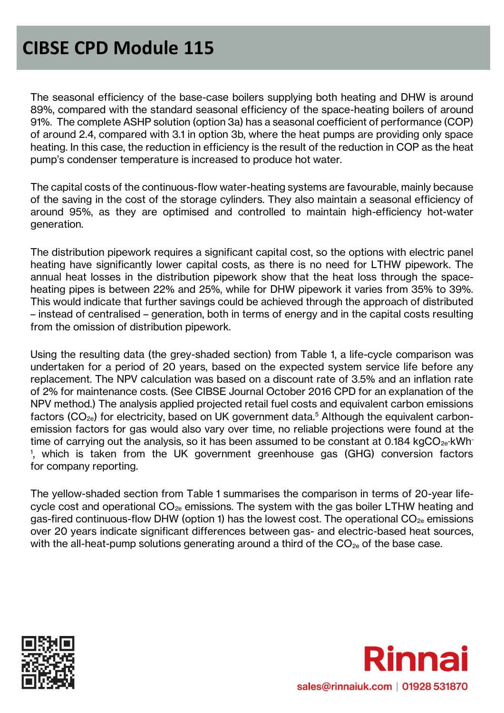The seasonal efficiency of the base-case boilers supplying both heating and DHW is around 89%, compared with the standard seasonal efficiency of the space-heating boilers of around 91%. The complete ASHP solution (option 3a) has a seasonal coefficient of performance (COP) of around 2.4, compared with 3.1 in option 3b, where the heat pumps are providing only space heating. In this case, the reduction in efficiency is the result of the reduction in COP as the heat pump's condenser temperature is increased to produce hot water.

The capital costs of the continuous-flow water-heating systems are favourable, mainly because of the saving in the cost of the storage cylinders. They also maintain a seasonal efficiency of around 95%, as they are optimised and controlled to maintain high-efficiency hot-water generation.

The distribution pipework requires a significant capital cost, so the options with electric panel heating have significantly lower capital costs, as there is no need for LTHW pipework. The annual heat losses in the distribution pipework show that the heat loss through the spaceheating pipes is between 22% and 25%, while for DHW pipework it varies from 35% to 39%. This would indicate that further savings could be achieved through the approach of distributed – instead of centralised – generation, both in terms of energy and in the capital costs resulting from the omission of distribution pipework.

Using the resulting data (the grey-shaded section) from Table 1, a life-cycle comparison was undertaken for a period of 20 years, based on the expected system service life before any replacement. The NPV calculation was based on a discount rate of 3.5% and an inflation rate of 2% for maintenance costs. (See CIBSE Journal October 2016 CPD for an explanation of the NPV method.) The analysis applied projected retail fuel costs and equivalent carbon emissions factors  $(CO_{2e})$  for electricity, based on UK government data.<sup>5</sup> Although the equivalent carbonemission factors for gas would also vary over time, no reliable projections were found at the time of carrying out the analysis, so it has been assumed to be constant at 0.184 kgCO<sub>2e</sub>·kWh-1 , which is taken from the UK government greenhouse gas (GHG) conversion factors for company reporting.

The yellow-shaded section from Table 1 summarises the comparison in terms of 20-year lifecycle cost and operational  $CO<sub>2e</sub>$  emissions. The system with the gas boiler LTHW heating and gas-fired continuous-flow DHW (option 1) has the lowest cost. The operational  $CO_{2e}$  emissions over 20 years indicate significant differences between gas- and electric-based heat sources, with the all-heat-pump solutions generating around a third of the  $CO_{2e}$  of the base case.



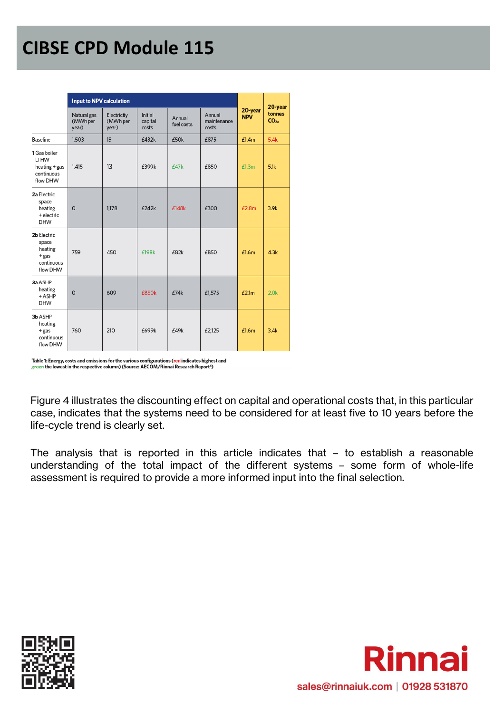|                                                                          | <b>Input to NPV calculation</b>  |                                  |                             |                      |                                |                       | 20-year                   |
|--------------------------------------------------------------------------|----------------------------------|----------------------------------|-----------------------------|----------------------|--------------------------------|-----------------------|---------------------------|
|                                                                          | Natural gas<br>(MWh per<br>year) | Electricity<br>(MWh per<br>year) | Initial<br>capital<br>costs | Annual<br>fuel costs | Annual<br>maintenance<br>costs | 20-year<br><b>NPV</b> | tonnes<br>CO <sub>2</sub> |
| <b>Baseline</b>                                                          | 1,503                            | 15                               | £432k                       | £50k                 | £875                           | £1.4m                 | 5.4k                      |
| 1 Gas boiler<br><b>LTHW</b><br>$heating + gas$<br>continuous<br>flow DHW | 1,415                            | 13                               | £399k                       | £47k                 | £850                           | £1.3m                 | 5.1k                      |
| 2a Electric<br>space<br>heating<br>+ electric<br><b>DHW</b>              | $\mathbf 0$                      | 1,178                            | £242k                       | £148k                | £300                           | £2.8m                 | 3.9k                      |
| 2b Electric<br>space<br>heating<br>$+$ gas<br>continuous<br>flow DHW     | 759                              | 450                              | £198k                       | £82k                 | £850                           | £1.6m                 | 4.3k                      |
| 3a ASHP<br>heating<br>$+$ ASHP<br><b>DHW</b>                             | $\mathbf 0$                      | 609                              | £850k                       | £74k                 | £1,575                         | E2.1m                 | 2.0k                      |
| 3b ASHP<br>heating<br>$+$ gas<br>continuous<br>flow DHW                  | 760                              | 210                              | £699k                       | £49k                 | £2,125                         | £1.6m                 | 3.4k                      |

Table 1: Energy, costs and emissions for the various configurations (red indicates highest and<br>green the lowest in the respective column) (Source: AECOM/Rinnai Research Report<sup>4</sup>)

Figure 4 illustrates the discounting effect on capital and operational costs that, in this particular case, indicates that the systems need to be considered for at least five to 10 years before the life-cycle trend is clearly set.

The analysis that is reported in this article indicates that – to establish a reasonable understanding of the total impact of the different systems – some form of whole-life assessment is required to provide a more informed input into the final selection.



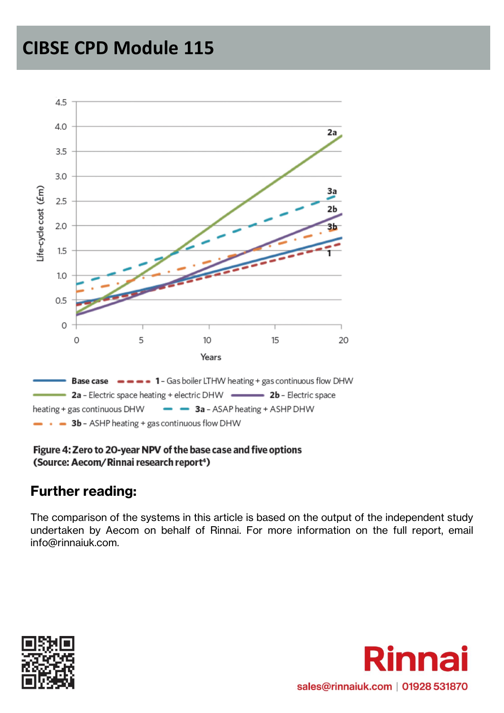

#### Figure 4: Zero to 20-year NPV of the base case and five options (Source: Aecom/Rinnai research report<sup>4</sup>)

#### **Further reading:**

The comparison of the systems in this article is based on the output of the independent study undertaken by Aecom on behalf of Rinnai. For more information on the full report, email info@rinnaiuk.com.